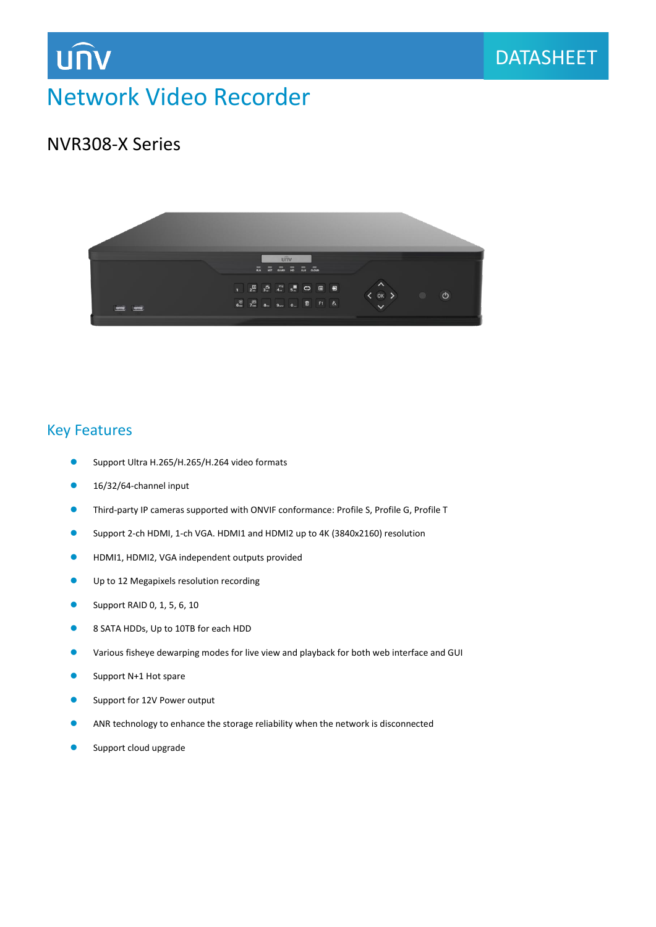

## Network Video Recorder

### NVR308-X Series



#### Key Features

- Support Ultra H.265/H.265/H.264 video formats
- 16/32/64-channel input
- Third-party IP cameras supported with ONVIF conformance: Profile S, Profile G, Profile T
- Support 2-ch HDMI, 1-ch VGA. HDMI1 and HDMI2 up to 4K (3840x2160) resolution
- HDMI1, HDMI2, VGA independent outputs provided
- **O** Up to 12 Megapixels resolution recording
- **Support RAID 0, 1, 5, 6, 10**
- 8 SATA HDDs, Up to 10TB for each HDD
- Various fisheye dewarping modes for live view and playback for both web interface and GUI
- **Support N+1 Hot spare**
- Support for 12V Power output
- ANR technology to enhance the storage reliability when the network is disconnected
- Support cloud upgrade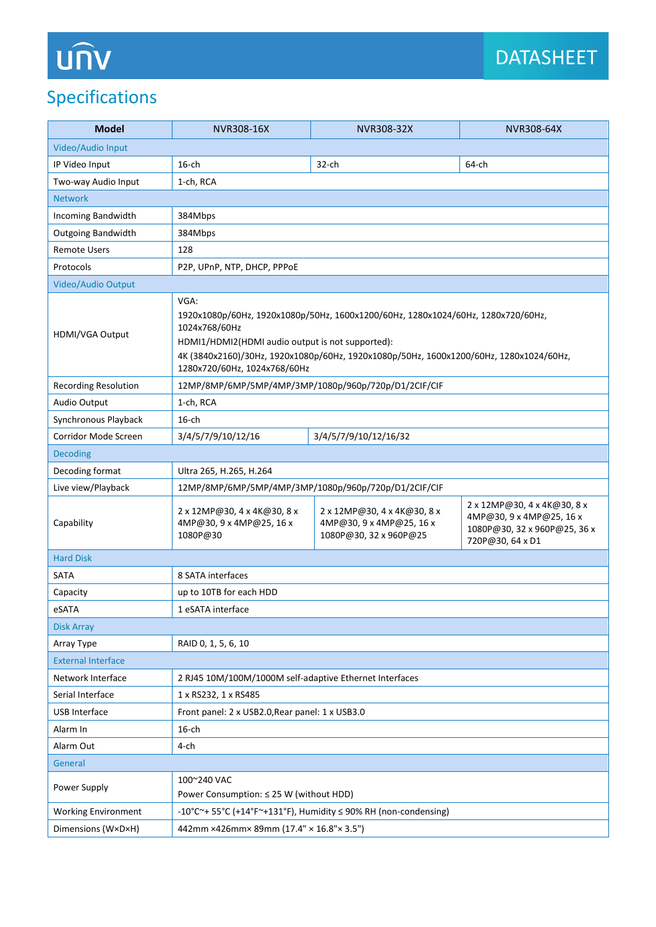# **UNV**

## Specifications

| <b>Model</b>                | NVR308-16X                                                                                                                                                                                                                                                                              | NVR308-32X                                                                        | NVR308-64X                                                                                                  |
|-----------------------------|-----------------------------------------------------------------------------------------------------------------------------------------------------------------------------------------------------------------------------------------------------------------------------------------|-----------------------------------------------------------------------------------|-------------------------------------------------------------------------------------------------------------|
| Video/Audio Input           |                                                                                                                                                                                                                                                                                         |                                                                                   |                                                                                                             |
| IP Video Input              | $16$ -ch                                                                                                                                                                                                                                                                                | $32$ -ch                                                                          | 64-ch                                                                                                       |
| Two-way Audio Input         | 1-ch, RCA                                                                                                                                                                                                                                                                               |                                                                                   |                                                                                                             |
| <b>Network</b>              |                                                                                                                                                                                                                                                                                         |                                                                                   |                                                                                                             |
| Incoming Bandwidth          | 384Mbps                                                                                                                                                                                                                                                                                 |                                                                                   |                                                                                                             |
| <b>Outgoing Bandwidth</b>   | 384Mbps                                                                                                                                                                                                                                                                                 |                                                                                   |                                                                                                             |
| <b>Remote Users</b>         | 128                                                                                                                                                                                                                                                                                     |                                                                                   |                                                                                                             |
| Protocols                   | P2P, UPnP, NTP, DHCP, PPPoE                                                                                                                                                                                                                                                             |                                                                                   |                                                                                                             |
| Video/Audio Output          |                                                                                                                                                                                                                                                                                         |                                                                                   |                                                                                                             |
| HDMI/VGA Output             | VGA:<br>1920x1080p/60Hz, 1920x1080p/50Hz, 1600x1200/60Hz, 1280x1024/60Hz, 1280x720/60Hz,<br>1024x768/60Hz<br>HDMI1/HDMI2(HDMI audio output is not supported):<br>4K (3840x2160)/30Hz, 1920x1080p/60Hz, 1920x1080p/50Hz, 1600x1200/60Hz, 1280x1024/60Hz,<br>1280x720/60Hz, 1024x768/60Hz |                                                                                   |                                                                                                             |
| <b>Recording Resolution</b> | 12MP/8MP/6MP/5MP/4MP/3MP/1080p/960p/720p/D1/2CIF/CIF                                                                                                                                                                                                                                    |                                                                                   |                                                                                                             |
| Audio Output                | 1-ch, RCA                                                                                                                                                                                                                                                                               |                                                                                   |                                                                                                             |
| Synchronous Playback        | $16$ -ch                                                                                                                                                                                                                                                                                |                                                                                   |                                                                                                             |
| Corridor Mode Screen        | 3/4/5/7/9/10/12/16                                                                                                                                                                                                                                                                      | 3/4/5/7/9/10/12/16/32                                                             |                                                                                                             |
| <b>Decoding</b>             |                                                                                                                                                                                                                                                                                         |                                                                                   |                                                                                                             |
| Decoding format             | Ultra 265, H.265, H.264                                                                                                                                                                                                                                                                 |                                                                                   |                                                                                                             |
| Live view/Playback          | 12MP/8MP/6MP/5MP/4MP/3MP/1080p/960p/720p/D1/2CIF/CIF                                                                                                                                                                                                                                    |                                                                                   |                                                                                                             |
| Capability                  | 2 x 12MP@30, 4 x 4K@30, 8 x<br>4MP@30, 9 x 4MP@25, 16 x<br>1080P@30                                                                                                                                                                                                                     | 2 x 12MP@30, 4 x 4K@30, 8 x<br>4MP@30, 9 x 4MP@25, 16 x<br>1080P@30, 32 x 960P@25 | 2 x 12MP@30, 4 x 4K@30, 8 x<br>4MP@30, 9 x 4MP@25, 16 x<br>1080P@30, 32 x 960P@25, 36 x<br>720P@30, 64 x D1 |
| <b>Hard Disk</b>            |                                                                                                                                                                                                                                                                                         |                                                                                   |                                                                                                             |
| <b>SATA</b>                 | 8 SATA interfaces                                                                                                                                                                                                                                                                       |                                                                                   |                                                                                                             |
| Capacity                    | up to 10TB for each HDD                                                                                                                                                                                                                                                                 |                                                                                   |                                                                                                             |
| eSATA                       | 1 eSATA interface                                                                                                                                                                                                                                                                       |                                                                                   |                                                                                                             |
| <b>Disk Array</b>           |                                                                                                                                                                                                                                                                                         |                                                                                   |                                                                                                             |
| Array Type                  | RAID 0, 1, 5, 6, 10                                                                                                                                                                                                                                                                     |                                                                                   |                                                                                                             |
| <b>External Interface</b>   |                                                                                                                                                                                                                                                                                         |                                                                                   |                                                                                                             |
| Network Interface           | 2 RJ45 10M/100M/1000M self-adaptive Ethernet Interfaces                                                                                                                                                                                                                                 |                                                                                   |                                                                                                             |
| Serial Interface            | 1 x RS232, 1 x RS485                                                                                                                                                                                                                                                                    |                                                                                   |                                                                                                             |
| USB Interface               | Front panel: 2 x USB2.0, Rear panel: 1 x USB3.0                                                                                                                                                                                                                                         |                                                                                   |                                                                                                             |
| Alarm In                    | $16$ -ch                                                                                                                                                                                                                                                                                |                                                                                   |                                                                                                             |
| Alarm Out                   | 4-ch                                                                                                                                                                                                                                                                                    |                                                                                   |                                                                                                             |
| General                     |                                                                                                                                                                                                                                                                                         |                                                                                   |                                                                                                             |
| Power Supply                | 100~240 VAC<br>Power Consumption: ≤ 25 W (without HDD)                                                                                                                                                                                                                                  |                                                                                   |                                                                                                             |
| <b>Working Environment</b>  | -10°C $\sim$ + 55°C (+14°F $\sim$ +131°F), Humidity $\leq$ 90% RH (non-condensing)                                                                                                                                                                                                      |                                                                                   |                                                                                                             |
| Dimensions (W×D×H)          | 442mm ×426mm× 89mm (17.4" × 16.8" × 3.5")                                                                                                                                                                                                                                               |                                                                                   |                                                                                                             |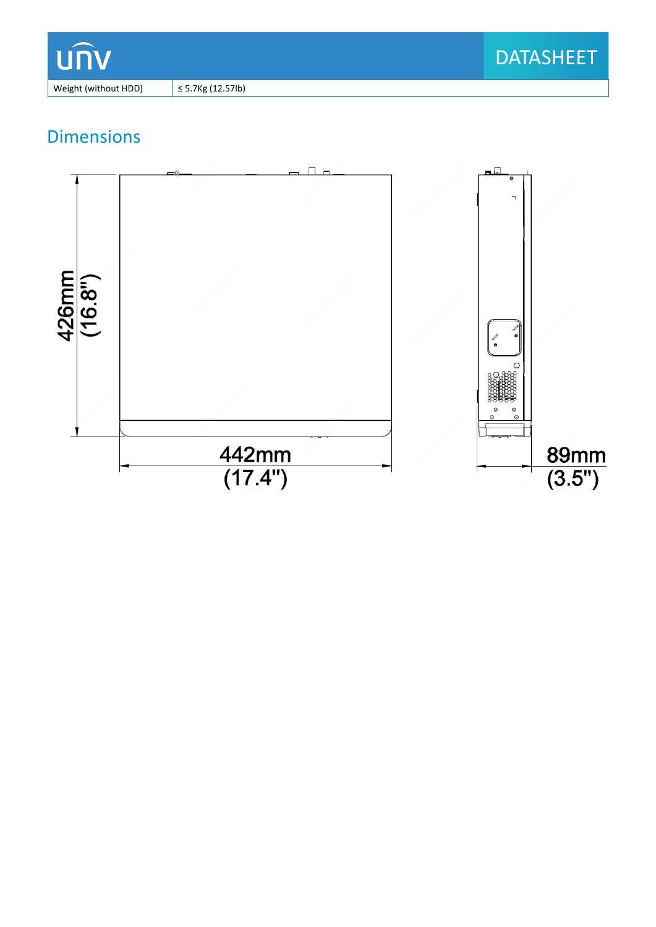

Weight (without HDD)  $\Big|$   $\leq$  5.7Kg (12.57lb)

## Dimensions